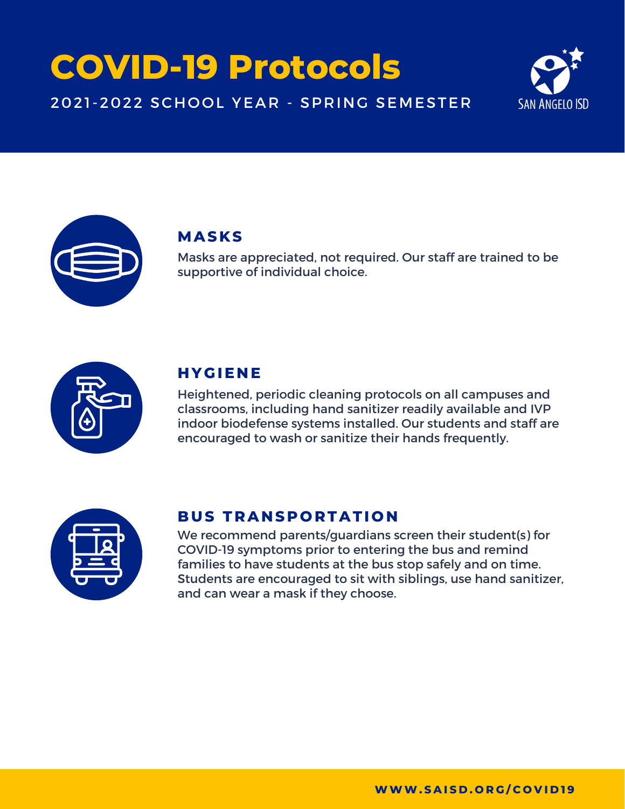# **COVID-19 Protocols**

#### 2021-2022 SCHOOL YEAR - SPRING SEMESTER





#### **MASKS**

Masks are appreciated, not required. Our staff are trained to be supportive of individual choice.



#### **H YGIE N E**

Heightened, periodic cleaning protocols on all campuses and classrooms, including hand sanitizer readily available and IVP indoor biodefense systems installed. Our students and staff are encouraged to wash or sanitize their hands frequently.



#### **BUS T RA N S P O R TATI O N**

We recommend parents/guardians screen their student(s) for COVID-19 symptoms prior to entering the bus and remind families to have students at the bus stop safely and on time. Students are encouraged to sit with siblings, use hand sanitizer, and can wear a mask if they choose.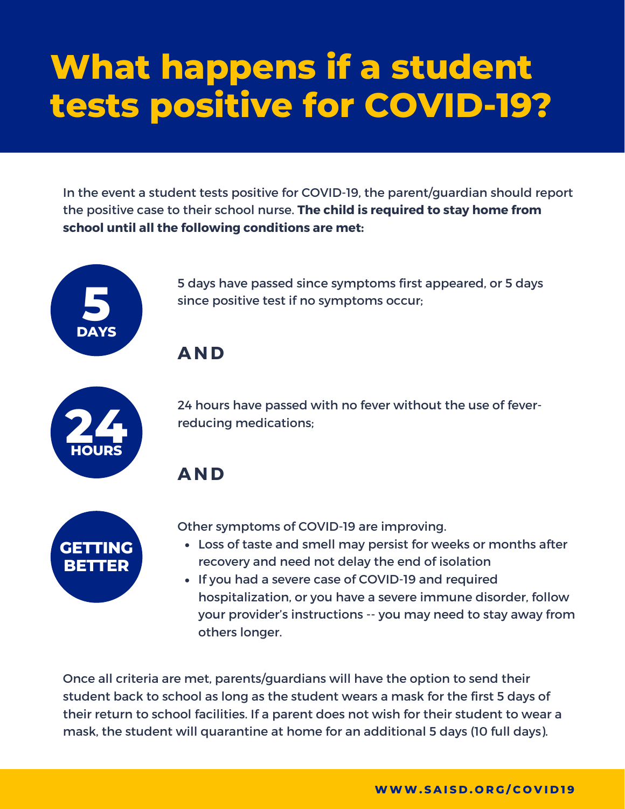# **What happens if a student tests positive for COVID-19?**

In the event a student tests positive for COVID-19, the parent/guardian should report the positive case to their school nurse. **The child is required to stay home from school until all the following conditions are met:**



5 days have passed since symptoms first appeared, or 5 days since positive test if no symptoms occur;

**AND**



24 hours have passed with no fever without the use of feverreducing medications;

**AND**



Other symptoms of COVID-19 are improving.

- Loss of taste and smell may persist for weeks or months after recovery and need not delay the end of isolation
- If you had a severe case of COVID-19 and required hospitalization, or you have a severe immune disorder, follow your provider's instructions -- you may need to stay away from others longer.

Once all criteria are met, parents/guardians will have the option to send their student back to school as long as the student wears a mask for the first 5 days of their return to school facilities. If a parent does not wish for their student to wear a mask, the student will quarantine at home for an additional 5 days (10 full days).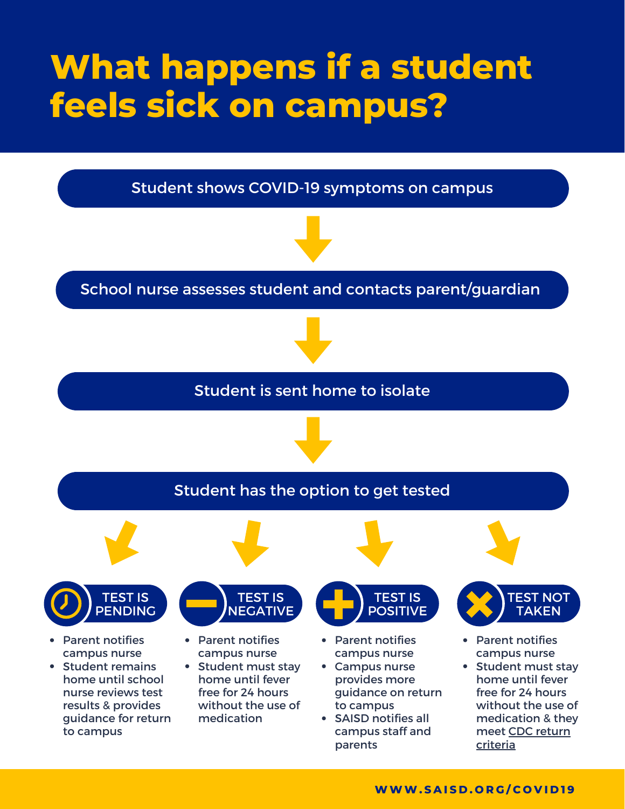## **What happens if a student feels sick on campus?**

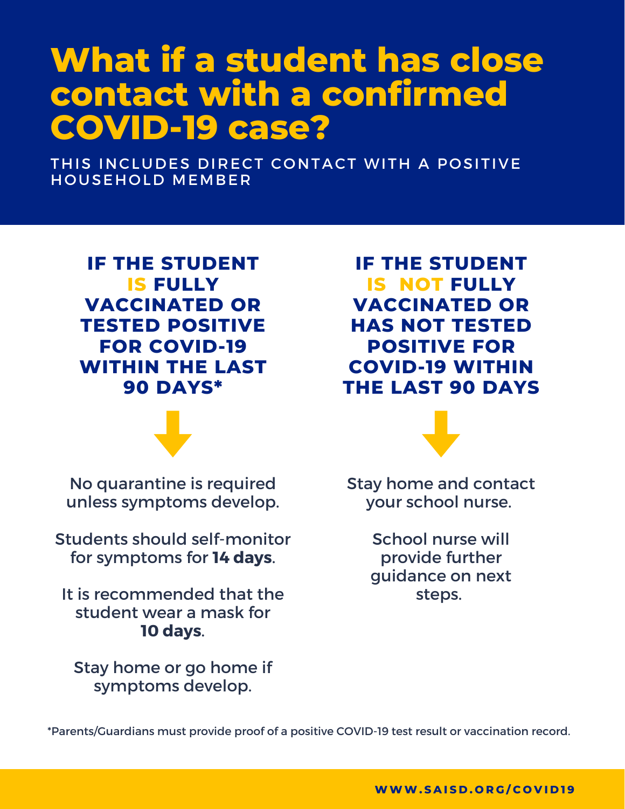### **What if a student has close contact with a confirmed COVID-19 case?**

THIS INCLUDES DIRECT CONTACT WITH A POSITIVE HOUSEHOLD MEMBER

**IF THE STUDENT IS FULLY VACCINATED OR TESTED POSITIVE FOR COVID-19 WITHIN THE LAST 90 DAYS\***

No quarantine is required unless symptoms develop.

Students should self-monitor for symptoms for **14 days**.

It is recommended that the student wear a mask for **10 days**.

Stay home or go home if symptoms develop.

**IF THE STUDENT IS NOT FULLY VACCINATED OR HAS NOT TESTED POSITIVE FOR COVID-19 WITHIN THE LAST 90 DAYS**



Stay home and contact your school nurse.

> School nurse will provide further guidance on next steps.

\*Parents/Guardians must provide proof of a positive COVID-19 test result or vaccination record.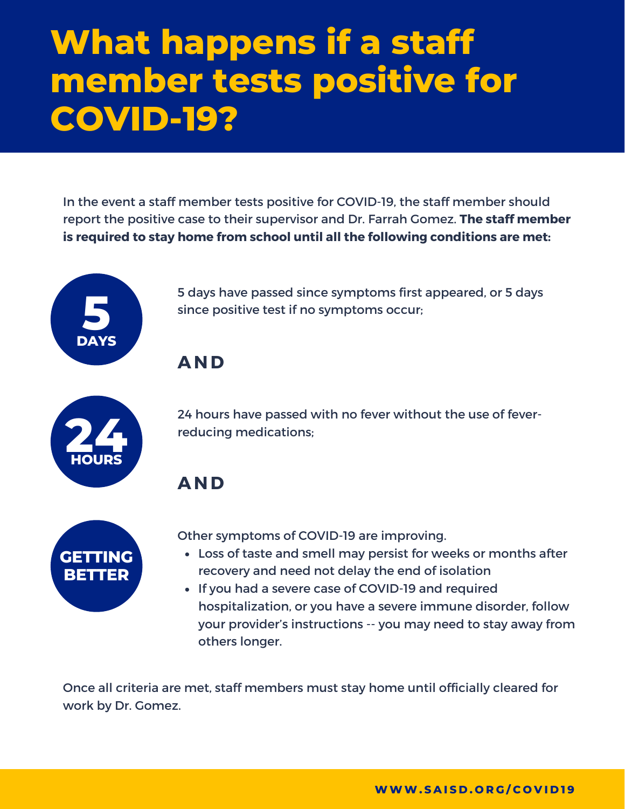## **What happens if a staff member tests positive for COVID-19?**

In the event a staff member tests positive for COVID-19, the staff member should report the positive case to their supervisor and Dr. Farrah Gomez. **The staff member is required to stay home from school until all the following conditions are met:**



5 days have passed since symptoms first appeared, or 5 days since positive test if no symptoms occur;

**AND**



24 hours have passed with no fever without the use of feverreducing medications;

**AND**



Other symptoms of COVID-19 are improving.

- Loss of taste and smell may persist for weeks or months after recovery and need not delay the end of isolation
- If you had a severe case of COVID-19 and required hospitalization, or you have a severe immune disorder, follow your provider's instructions -- you may need to stay away from others longer.

Once all criteria are met, staff members must stay home until officially cleared for work by Dr. Gomez.